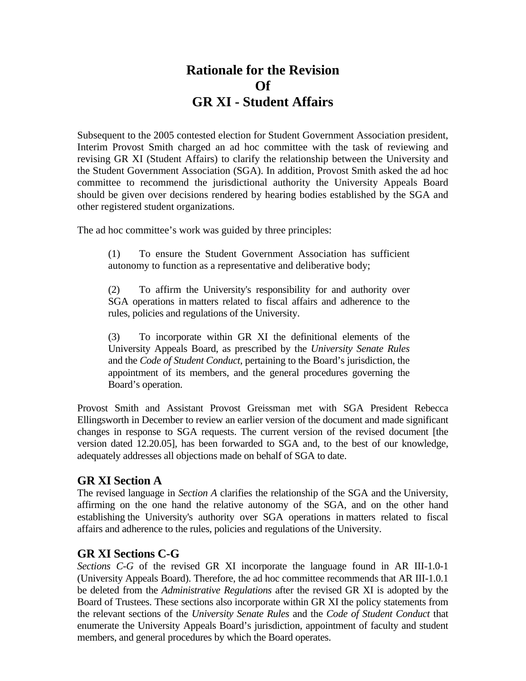# **Rationale for the Revision Of GR XI - Student Affairs**

Subsequent to the 2005 contested election for Student Government Association president, Interim Provost Smith charged an ad hoc committee with the task of reviewing and revising GR XI (Student Affairs) to clarify the relationship between the University and the Student Government Association (SGA). In addition, Provost Smith asked the ad hoc committee to recommend the jurisdictional authority the University Appeals Board should be given over decisions rendered by hearing bodies established by the SGA and other registered student organizations.

The ad hoc committee's work was guided by three principles:

(1) To ensure the Student Government Association has sufficient autonomy to function as a representative and deliberative body;

(2) To affirm the University's responsibility for and authority over SGA operations in matters related to fiscal affairs and adherence to the rules, policies and regulations of the University.

(3) To incorporate within GR XI the definitional elements of the University Appeals Board, as prescribed by the *University Senate Rules* and the *Code of Student Conduct*, pertaining to the Board's jurisdiction, the appointment of its members, and the general procedures governing the Board's operation.

Provost Smith and Assistant Provost Greissman met with SGA President Rebecca Ellingsworth in December to review an earlier version of the document and made significant changes in response to SGA requests. The current version of the revised document [the version dated 12.20.05], has been forwarded to SGA and, to the best of our knowledge, adequately addresses all objections made on behalf of SGA to date.

# **GR XI Section A**

The revised language in *Section A* clarifies the relationship of the SGA and the University, affirming on the one hand the relative autonomy of the SGA, and on the other hand establishing the University's authority over SGA operations in matters related to fiscal affairs and adherence to the rules, policies and regulations of the University.

# **GR XI Sections C-G**

*Sections C-G* of the revised GR XI incorporate the language found in AR III-1.0-1 (University Appeals Board). Therefore, the ad hoc committee recommends that AR III-1.0.1 be deleted from the *Administrative Regulations* after the revised GR XI is adopted by the Board of Trustees. These sections also incorporate within GR XI the policy statements from the relevant sections of the *University Senate Rules* and the *Code of Student Conduct* that enumerate the University Appeals Board's jurisdiction, appointment of faculty and student members, and general procedures by which the Board operates.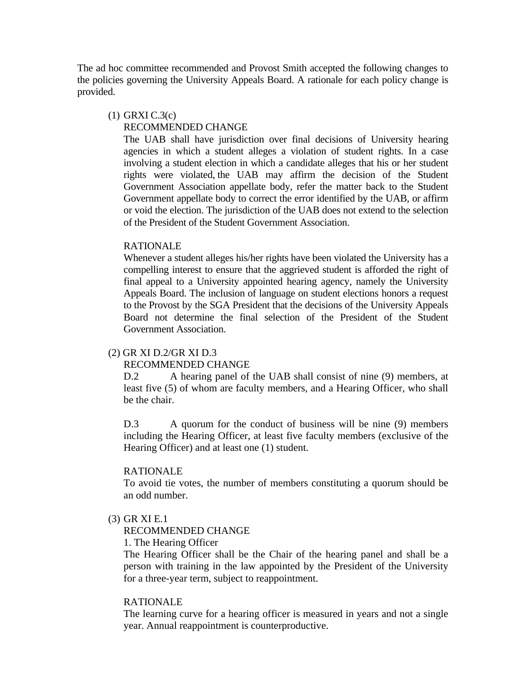The ad hoc committee recommended and Provost Smith accepted the following changes to the policies governing the University Appeals Board. A rationale for each policy change is provided.

#### (1) GRXI C.3(c)

### RECOMMENDED CHANGE

The UAB shall have jurisdiction over final decisions of University hearing agencies in which a student alleges a violation of student rights. In a case involving a student election in which a candidate alleges that his or her student rights were violated, the UAB may affirm the decision of the Student Government Association appellate body, refer the matter back to the Student Government appellate body to correct the error identified by the UAB, or affirm or void the election. The jurisdiction of the UAB does not extend to the selection of the President of the Student Government Association.

#### RATIONALE

Whenever a student alleges his/her rights have been violated the University has a compelling interest to ensure that the aggrieved student is afforded the right of final appeal to a University appointed hearing agency, namely the University Appeals Board. The inclusion of language on student elections honors a request to the Provost by the SGA President that the decisions of the University Appeals Board not determine the final selection of the President of the Student Government Association.

### (2) GR XI D.2/GR XI D.3

#### RECOMMENDED CHANGE

D.2 A hearing panel of the UAB shall consist of nine (9) members, at least five (5) of whom are faculty members, and a Hearing Officer, who shall be the chair.

D.3 A quorum for the conduct of business will be nine (9) members including the Hearing Officer, at least five faculty members (exclusive of the Hearing Officer) and at least one (1) student.

#### RATIONALE

To avoid tie votes, the number of members constituting a quorum should be an odd number.

(3) GR XI E.1

# RECOMMENDED CHANGE

1. The Hearing Officer

The Hearing Officer shall be the Chair of the hearing panel and shall be a person with training in the law appointed by the President of the University for a three-year term, subject to reappointment.

#### RATIONALE

The learning curve for a hearing officer is measured in years and not a single year. Annual reappointment is counterproductive.